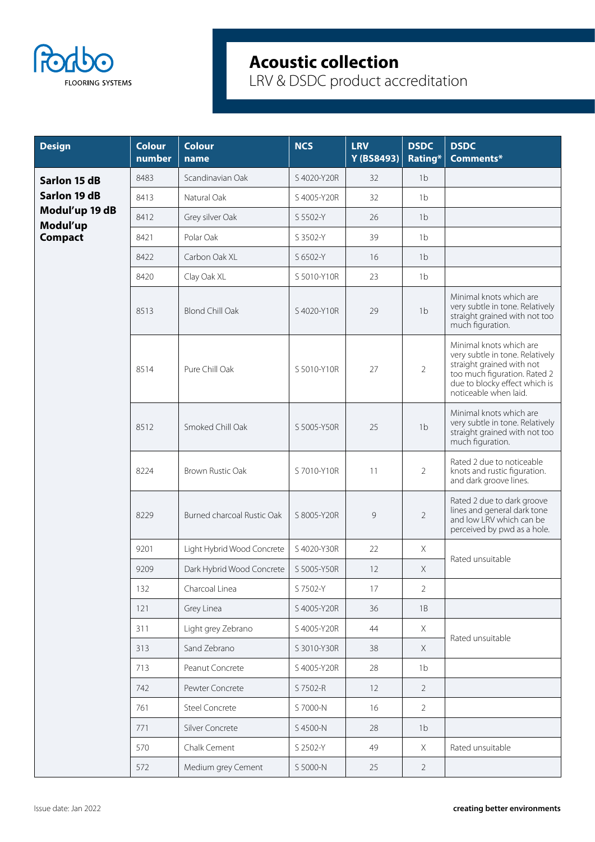

| <b>Design</b>              | <b>Colour</b><br>number | <b>Colour</b><br>name      | <b>NCS</b>  | <b>LRV</b><br>Y (BS8493) | <b>DSDC</b><br>Rating* | <b>DSDC</b><br>Comments*                                                                                                                                                          |  |
|----------------------------|-------------------------|----------------------------|-------------|--------------------------|------------------------|-----------------------------------------------------------------------------------------------------------------------------------------------------------------------------------|--|
| Sarlon 15 dB               | 8483                    | Scandinavian Oak           | S 4020-Y20R | 32                       | 1 <sub>b</sub>         |                                                                                                                                                                                   |  |
| Sarlon 19 dB               | 8413                    | Natural Oak                | S 4005-Y20R | 32                       | 1 <sub>b</sub>         |                                                                                                                                                                                   |  |
| Modul'up 19 dB<br>Modul'up | 8412                    | Grey silver Oak            | S 5502-Y    | 26                       | 1 <sub>b</sub>         |                                                                                                                                                                                   |  |
| <b>Compact</b>             | 8421                    | Polar Oak                  | S 3502-Y    | 39                       | 1 <sub>b</sub>         |                                                                                                                                                                                   |  |
|                            | 8422                    | Carbon Oak XL              | S 6502-Y    | 16                       | 1 <sub>b</sub>         |                                                                                                                                                                                   |  |
|                            | 8420                    | Clay Oak XL                | S 5010-Y10R | 23                       | 1 <sub>b</sub>         |                                                                                                                                                                                   |  |
|                            | 8513                    | <b>Blond Chill Oak</b>     | S 4020-Y10R | 29                       | 1 <sub>b</sub>         | Minimal knots which are<br>very subtle in tone. Relatively<br>straight grained with not too<br>much figuration.                                                                   |  |
|                            | 8514                    | Pure Chill Oak             | S 5010-Y10R | 27                       | $\overline{2}$         | Minimal knots which are<br>very subtle in tone. Relatively<br>straight grained with not<br>too much figuration. Rated 2<br>due to blocky effect which is<br>noticeable when laid. |  |
|                            | 8512                    | Smoked Chill Oak           | S 5005-Y50R | 25                       | 1 <sub>b</sub>         | Minimal knots which are<br>very subtle in tone. Relatively<br>straight grained with not too<br>much figuration.                                                                   |  |
|                            | 8224                    | Brown Rustic Oak           | S 7010-Y10R | 11                       | $\overline{2}$         | Rated 2 due to noticeable<br>knots and rustic figuration.<br>and dark groove lines.                                                                                               |  |
|                            | 8229                    | Burned charcoal Rustic Oak | S 8005-Y20R | 9                        | $\overline{2}$         | Rated 2 due to dark groove<br>lines and general dark tone<br>and low LRV which can be<br>perceived by pwd as a hole.                                                              |  |
|                            | 9201                    | Light Hybrid Wood Concrete | S 4020-Y30R | 22                       | $\mathsf X$            | Rated unsuitable                                                                                                                                                                  |  |
|                            | 9209                    | Dark Hybrid Wood Concrete  | S 5005-Y50R | 12                       | Χ                      |                                                                                                                                                                                   |  |
|                            | 132                     | Charcoal Linea             | S 7502-Y    | 17                       | 2                      |                                                                                                                                                                                   |  |
|                            | 121                     | Grey Linea                 | S 4005-Y20R | 36                       | $1B$                   |                                                                                                                                                                                   |  |
|                            | 311                     | Light grey Zebrano         | S 4005-Y20R | 44                       | $\mathsf X$            | Rated unsuitable                                                                                                                                                                  |  |
|                            | 313                     | Sand Zebrano               | S 3010-Y30R | 38                       | $\times$               |                                                                                                                                                                                   |  |
|                            | 713                     | Peanut Concrete            | S 4005-Y20R | 28                       | 1 <sub>b</sub>         |                                                                                                                                                                                   |  |
|                            | 742                     | Pewter Concrete            | S 7502-R    | 12                       | $\overline{2}$         |                                                                                                                                                                                   |  |
|                            | 761                     | Steel Concrete             | S 7000-N    | 16                       | $\overline{2}$         |                                                                                                                                                                                   |  |
|                            | 771                     | Silver Concrete            | S 4500-N    | 28                       | 1 <sub>b</sub>         |                                                                                                                                                                                   |  |
|                            | 570                     | Chalk Cement               | S 2502-Y    | 49                       | $\mathsf X$            | Rated unsuitable                                                                                                                                                                  |  |
|                            | 572                     | Medium grey Cement         | S 5000-N    | 25                       | $\overline{2}$         |                                                                                                                                                                                   |  |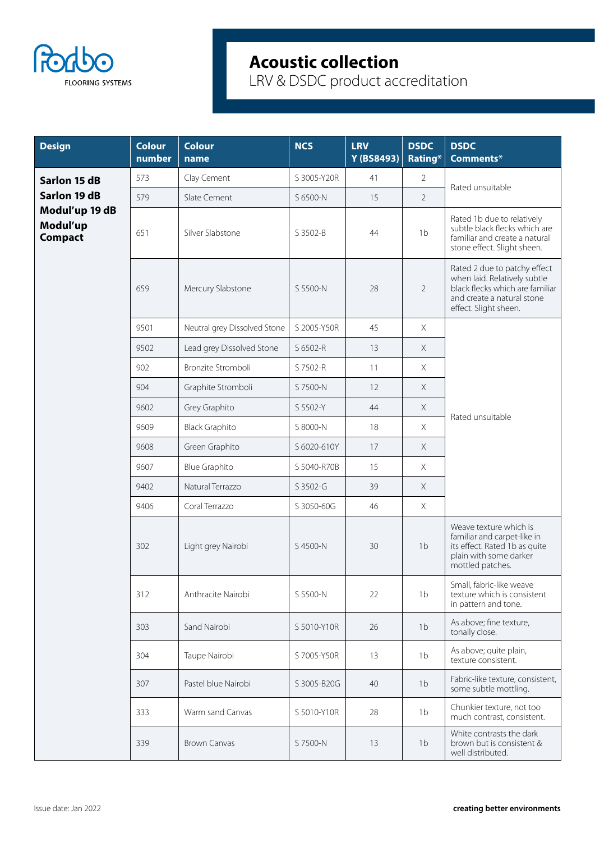

| <b>Design</b>                                | <b>Colour</b><br>number | <b>Colour</b><br>name        | <b>NCS</b>  | <b>LRV</b><br>Y (BS8493) | <b>DSDC</b><br>Rating* | <b>DSDC</b><br>Comments*                                                                                                                               |  |
|----------------------------------------------|-------------------------|------------------------------|-------------|--------------------------|------------------------|--------------------------------------------------------------------------------------------------------------------------------------------------------|--|
| Sarlon 15 dB                                 | 573                     | Clay Cement                  | S 3005-Y20R | 41                       | $\overline{2}$         | Rated unsuitable                                                                                                                                       |  |
| Sarlon 19 dB                                 | 579                     | Slate Cement                 | S 6500-N    | 15                       | $\overline{2}$         |                                                                                                                                                        |  |
| Modul'up 19 dB<br>Modul'up<br><b>Compact</b> | 651                     | Silver Slabstone             | S 3502-B    | 44                       | 1 <sub>b</sub>         | Rated 1b due to relatively<br>subtle black flecks which are<br>familiar and create a natural<br>stone effect. Slight sheen.                            |  |
|                                              | 659                     | Mercury Slabstone            | S 5500-N    | 28                       | $\overline{2}$         | Rated 2 due to patchy effect<br>when laid. Relatively subtle<br>black flecks which are familiar<br>and create a natural stone<br>effect. Slight sheen. |  |
|                                              | 9501                    | Neutral grey Dissolved Stone | S 2005-Y50R | 45                       | X                      |                                                                                                                                                        |  |
|                                              | 9502                    | Lead grey Dissolved Stone    | S 6502-R    | 13                       | X                      |                                                                                                                                                        |  |
|                                              | 902                     | Bronzite Stromboli           | S 7502-R    | 11                       | X                      |                                                                                                                                                        |  |
|                                              | 904                     | Graphite Stromboli           | S 7500-N    | 12                       | $\mathsf X$            | Rated unsuitable                                                                                                                                       |  |
|                                              | 9602                    | Grey Graphito                | S 5502-Y    | 44                       | $\times$               |                                                                                                                                                        |  |
|                                              | 9609                    | <b>Black Graphito</b>        | S 8000-N    | 18                       | X                      |                                                                                                                                                        |  |
|                                              | 9608                    | Green Graphito               | S 6020-610Y | 17                       | $\chi$                 |                                                                                                                                                        |  |
|                                              | 9607                    | <b>Blue Graphito</b>         | S 5040-R70B | 15                       | X                      |                                                                                                                                                        |  |
|                                              | 9402                    | Natural Terrazzo             | S 3502-G    | 39                       | $\times$               |                                                                                                                                                        |  |
| 9406                                         |                         | Coral Terrazzo               | S 3050-60G  | 46                       | $\chi$                 |                                                                                                                                                        |  |
|                                              | 302                     | Light grey Nairobi           | S 4500-N    | 30                       | 1 <sub>b</sub>         | Weave texture which is<br>familiar and carpet-like in<br>its effect. Rated 1b as quite<br>plain with some darker<br>mottled patches.                   |  |
|                                              | 312                     | Anthracite Nairobi           | S 5500-N    | 22                       | 1b                     | Small, fabric-like weave<br>texture which is consistent<br>in pattern and tone.                                                                        |  |
|                                              | 303                     | Sand Nairobi                 | S 5010-Y10R | 26                       | 1 <sub>b</sub>         | As above; fine texture,<br>tonally close.                                                                                                              |  |
|                                              | 304                     | Taupe Nairobi                | S 7005-Y50R | 13                       | 1 <sub>b</sub>         | As above; quite plain,<br>texture consistent.                                                                                                          |  |
|                                              | 307                     | Pastel blue Nairobi          | S 3005-B20G | 40                       | 1 <sub>b</sub>         | Fabric-like texture, consistent,<br>some subtle mottling.                                                                                              |  |
|                                              | 333                     | Warm sand Canvas             | S 5010-Y10R | 28                       | 1 <sub>b</sub>         | Chunkier texture, not too<br>much contrast, consistent.                                                                                                |  |
|                                              | 339                     | <b>Brown Canvas</b>          | S 7500-N    | 13                       | 1 <sub>b</sub>         | White contrasts the dark<br>brown but is consistent &<br>well distributed.                                                                             |  |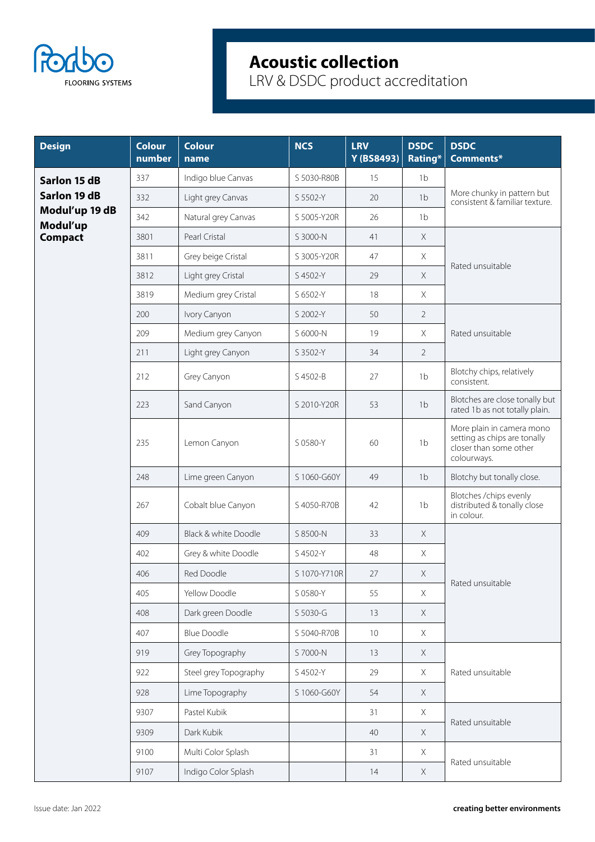

| <b>Design</b>              | <b>Colour</b><br>number | <b>Colour</b><br>name | <b>NCS</b>   | <b>LRV</b><br>Y (BS8493) | <b>DSDC</b><br>Rating* | <b>DSDC</b><br>Comments*                                                                           |  |
|----------------------------|-------------------------|-----------------------|--------------|--------------------------|------------------------|----------------------------------------------------------------------------------------------------|--|
| Sarlon 15 dB               | 337                     | Indigo blue Canvas    | S 5030-R80B  | 15                       | 1 <sub>b</sub>         |                                                                                                    |  |
| Sarlon 19 dB               | 332                     | Light grey Canvas     | S 5502-Y     | 20                       | 1 <sub>b</sub>         | More chunky in pattern but<br>consistent & familiar texture.                                       |  |
| Modul'up 19 dB<br>Modul'up | 342                     | Natural grey Canvas   | S 5005-Y20R  | 26                       | 1 <sub>b</sub>         |                                                                                                    |  |
| <b>Compact</b>             | 3801                    | Pearl Cristal         | S 3000-N     | 41                       | $\times$               |                                                                                                    |  |
|                            | 3811                    | Grey beige Cristal    | S 3005-Y20R  | 47                       | $\times$               |                                                                                                    |  |
|                            | 3812                    | Light grey Cristal    | S 4502-Y     | 29                       | X                      | Rated unsuitable                                                                                   |  |
|                            | 3819                    | Medium grey Cristal   | S 6502-Y     | 18                       | $\times$               |                                                                                                    |  |
|                            | 200                     | Ivory Canyon          | S 2002-Y     | 50                       | $\overline{2}$         | Rated unsuitable                                                                                   |  |
|                            | 209                     | Medium grey Canyon    | S 6000-N     | 19                       | $\times$               |                                                                                                    |  |
|                            | 211                     | Light grey Canyon     | S 3502-Y     | 34                       | $\overline{2}$         |                                                                                                    |  |
|                            | 212                     | Grey Canyon           | S 4502-B     | 27                       | 1b                     | Blotchy chips, relatively<br>consistent.                                                           |  |
|                            | 223                     | Sand Canyon           | S 2010-Y20R  | 53                       | 1 <sub>b</sub>         | Blotches are close tonally but<br>rated 1b as not totally plain.                                   |  |
| 235                        |                         | Lemon Canyon          | S 0580-Y     | 60                       | 1 <sub>b</sub>         | More plain in camera mono<br>setting as chips are tonally<br>closer than some other<br>colourways. |  |
|                            | 248                     | Lime green Canyon     | S 1060-G60Y  | 49                       | 1 <sub>b</sub>         | Blotchy but tonally close.                                                                         |  |
|                            | 267                     | Cobalt blue Canyon    | S 4050-R70B  | 42                       | 1 <sub>b</sub>         | Blotches / chips evenly<br>distributed & tonally close<br>in colour.                               |  |
|                            | 409                     | Black & white Doodle  | S 8500-N     | 33                       | $\times$               |                                                                                                    |  |
|                            | 402                     | Grey & white Doodle   | S 4502-Y     | 48                       | $\mathsf X$            |                                                                                                    |  |
|                            | 406                     | Red Doodle            | S 1070-Y710R | 27                       | $\times$               |                                                                                                    |  |
|                            | 405                     | Yellow Doodle         | S 0580-Y     | 55                       | Χ                      | Rated unsuitable                                                                                   |  |
|                            | 408                     | Dark green Doodle     | S 5030-G     | 13                       | $\mathsf X$            |                                                                                                    |  |
|                            | 407                     | <b>Blue Doodle</b>    | S 5040-R70B  | $10\,$                   | X                      |                                                                                                    |  |
|                            | 919                     | Grey Topography       | S 7000-N     | 13                       | X                      |                                                                                                    |  |
|                            | 922                     | Steel grey Topography | S 4502-Y     | 29                       | $\times$               | Rated unsuitable                                                                                   |  |
|                            | 928                     | Lime Topography       | S 1060-G60Y  | 54                       | $\mathsf X$            |                                                                                                    |  |
|                            | 9307                    | Pastel Kubik          |              | 31                       | $\times$               |                                                                                                    |  |
|                            | 9309                    | Dark Kubik            |              | 40                       | $\times$               | Rated unsuitable                                                                                   |  |
|                            | 9100                    | Multi Color Splash    |              | 31                       | $\mathsf X$            |                                                                                                    |  |
|                            | 9107                    | Indigo Color Splash   |              | 14                       | $\times$               | Rated unsuitable                                                                                   |  |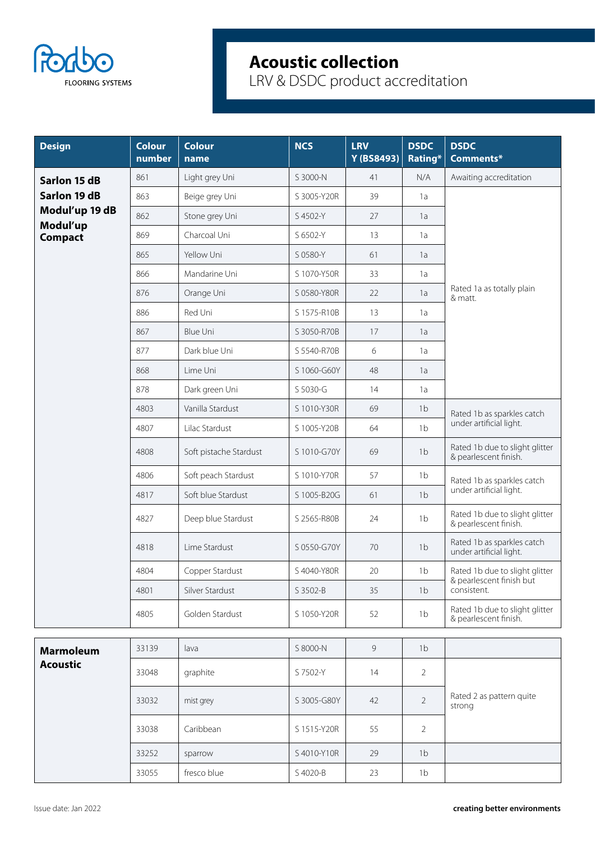

| <b>Design</b>              | <b>Colour</b><br>number | <b>Colour</b><br>name  | <b>NCS</b>  | <b>LRV</b><br>Y (BS8493) | <b>DSDC</b><br>Rating* | <b>DSDC</b><br>Comments*                                   |  |
|----------------------------|-------------------------|------------------------|-------------|--------------------------|------------------------|------------------------------------------------------------|--|
| Sarlon 15 dB               | 861                     | Light grey Uni         | S 3000-N    | 41                       | N/A                    | Awaiting accreditation                                     |  |
| Sarlon 19 dB               | 863                     | Beige grey Uni         | S 3005-Y20R | 39                       | 1a                     |                                                            |  |
| Modul'up 19 dB<br>Modul'up | 862                     | Stone grey Uni         | S 4502-Y    | 27                       | 1a                     |                                                            |  |
| <b>Compact</b>             | 869                     | Charcoal Uni           | S 6502-Y    | 13                       | 1a                     |                                                            |  |
|                            | 865                     | Yellow Uni             | S 0580-Y    | 61                       | 1a                     | Rated 1a as totally plain<br>& matt.                       |  |
|                            | 866                     | Mandarine Uni          | S 1070-Y50R | 33                       | 1a                     |                                                            |  |
|                            | 876                     | Orange Uni             | S 0580-Y80R | 22                       | 1a                     |                                                            |  |
|                            | 886                     | Red Uni                | S 1575-R10B | 13                       | 1a                     |                                                            |  |
|                            | 867                     | <b>Blue Uni</b>        | S 3050-R70B | 17                       | 1a                     |                                                            |  |
|                            | 877                     | Dark blue Uni          | S 5540-R70B | 6                        | 1a                     |                                                            |  |
|                            | 868                     | Lime Uni               | S 1060-G60Y | 48                       | 1a                     |                                                            |  |
|                            | 878                     | Dark green Uni         | S 5030-G    | 14                       | 1a                     |                                                            |  |
|                            | 4803                    | Vanilla Stardust       | S 1010-Y30R | 69                       | 1 <sub>b</sub>         | Rated 1b as sparkles catch                                 |  |
|                            | 4807                    | Lilac Stardust         | S 1005-Y20B | 64                       | 1 <sub>b</sub>         | under artificial light.                                    |  |
|                            | 4808                    | Soft pistache Stardust | S 1010-G70Y | 69                       | 1 <sub>b</sub>         | Rated 1b due to slight glitter<br>& pearlescent finish.    |  |
|                            | 4806                    | Soft peach Stardust    | S 1010-Y70R | 57                       | 1 <sub>b</sub>         | Rated 1b as sparkles catch                                 |  |
|                            | 4817                    | Soft blue Stardust     | S 1005-B20G | 61                       | 1 <sub>b</sub>         | under artificial light.                                    |  |
|                            | 4827                    | Deep blue Stardust     | S 2565-R80B | 24                       | 1 <sub>b</sub>         | Rated 1b due to slight glitter<br>& pearlescent finish.    |  |
|                            | 4818                    | Lime Stardust          | S 0550-G70Y | 70                       | 1 <sub>b</sub>         | Rated 1b as sparkles catch<br>under artificial light.      |  |
|                            | 4804                    | Copper Stardust        | S 4040-Y80R | 20                       | 1 <sub>b</sub>         | Rated 1b due to slight glitter<br>& pearlescent finish but |  |
|                            | 4801                    | Silver Stardust        | S 3502-B    | 35                       | 1 <sub>b</sub>         | consistent.                                                |  |
|                            | 4805                    | Golden Stardust        | S 1050-Y20R | 52                       | 1 <sub>b</sub>         | Rated 1b due to slight glitter<br>& pearlescent finish.    |  |
| <b>Marmoleum</b>           | 33139                   | lava                   | S 8000-N    | 9                        | 1 <sub>b</sub>         |                                                            |  |
| <b>Acoustic</b>            | 33048                   | graphite               | S 7502-Y    | 14                       | $\overline{2}$         |                                                            |  |
|                            | 33032                   | mist grey              | S 3005-G80Y | 42                       | $\overline{2}$         | Rated 2 as pattern quite<br>strong                         |  |
|                            | 33038                   | Caribbean              | S 1515-Y20R | 55                       | $\overline{2}$         |                                                            |  |
|                            | 33252                   | sparrow                | S 4010-Y10R | 29                       | 1 <sub>b</sub>         |                                                            |  |
|                            | 33055                   | fresco blue            | S 4020-B    | 23                       | 1 <sub>b</sub>         |                                                            |  |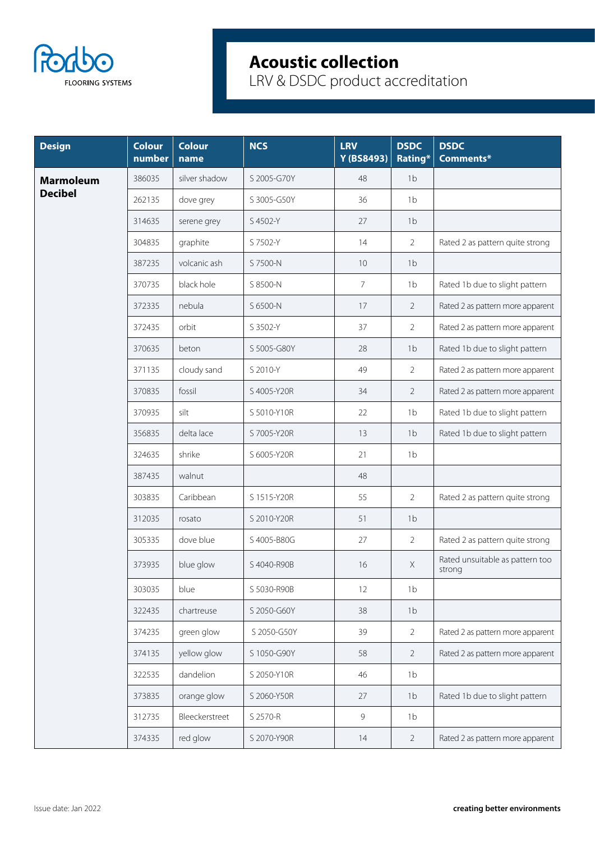

| <b>Design</b>    | <b>Colour</b><br>number | <b>Colour</b><br>name | <b>NCS</b>  | <b>LRV</b><br>Y (BS8493) | <b>DSDC</b><br>Rating* | <b>DSDC</b><br>Comments*                  |
|------------------|-------------------------|-----------------------|-------------|--------------------------|------------------------|-------------------------------------------|
| <b>Marmoleum</b> | 386035                  | silver shadow         | S 2005-G70Y | 48                       | 1 <sub>b</sub>         |                                           |
| <b>Decibel</b>   | 262135                  | dove grey             | S 3005-G50Y | 36                       | 1 <sub>b</sub>         |                                           |
|                  | 314635                  | serene grey           | S 4502-Y    | 27                       | 1 <sub>b</sub>         |                                           |
|                  | 304835                  | graphite              | S 7502-Y    | 14                       | $\overline{2}$         | Rated 2 as pattern quite strong           |
|                  | 387235                  | volcanic ash          | S 7500-N    | 10                       | 1 <sub>b</sub>         |                                           |
|                  | 370735                  | black hole            | S 8500-N    | $\overline{7}$           | 1 <sub>b</sub>         | Rated 1b due to slight pattern            |
|                  | 372335                  | nebula                | S 6500-N    | 17                       | $\overline{2}$         | Rated 2 as pattern more apparent          |
|                  | 372435                  | orbit                 | S 3502-Y    | 37                       | $\overline{2}$         | Rated 2 as pattern more apparent          |
|                  | 370635                  | beton                 | S 5005-G80Y | 28                       | 1 <sub>b</sub>         | Rated 1b due to slight pattern            |
|                  | 371135                  | cloudy sand           | S 2010-Y    | 49                       | $\overline{2}$         | Rated 2 as pattern more apparent          |
|                  | 370835                  | fossil                | S 4005-Y20R | 34                       | $\overline{2}$         | Rated 2 as pattern more apparent          |
|                  | 370935                  | silt                  | S 5010-Y10R | 22                       | 1 <sub>b</sub>         | Rated 1b due to slight pattern            |
|                  | 356835                  | delta lace            | S 7005-Y20R | 13                       | 1 <sub>b</sub>         | Rated 1b due to slight pattern            |
|                  | 324635                  | shrike                | S 6005-Y20R | 21                       | 1 <sub>b</sub>         |                                           |
|                  | 387435                  | walnut                |             | 48                       |                        |                                           |
|                  | 303835                  | Caribbean             | S 1515-Y20R | 55                       | $\overline{2}$         | Rated 2 as pattern quite strong           |
|                  | 312035                  | rosato                | S 2010-Y20R | 51                       | 1 <sub>b</sub>         |                                           |
|                  | 305335                  | dove blue             | S 4005-B80G | 27                       | $\overline{2}$         | Rated 2 as pattern quite strong           |
|                  | 373935                  | blue glow             | S 4040-R90B | 16                       | $\mathsf X$            | Rated unsuitable as pattern too<br>strong |
|                  | 303035                  | blue                  | S 5030-R90B | 12                       | 1 <sub>b</sub>         |                                           |
|                  | 322435                  | chartreuse            | S 2050-G60Y | 38                       | 1 <sub>b</sub>         |                                           |
|                  | 374235                  | green glow            | S 2050-G50Y | 39                       | $\overline{2}$         | Rated 2 as pattern more apparent          |
|                  | 374135                  | yellow glow           | S 1050-G90Y | 58                       | $\overline{2}$         | Rated 2 as pattern more apparent          |
|                  | 322535                  | dandelion             | S 2050-Y10R | 46                       | 1 <sub>b</sub>         |                                           |
|                  | 373835                  | orange glow           | S 2060-Y50R | 27                       | 1 <sub>b</sub>         | Rated 1b due to slight pattern            |
|                  | 312735                  | Bleeckerstreet        | S 2570-R    | 9                        | 1 <sub>b</sub>         |                                           |
|                  | 374335                  | red glow              | S 2070-Y90R | 14                       | $\overline{2}$         | Rated 2 as pattern more apparent          |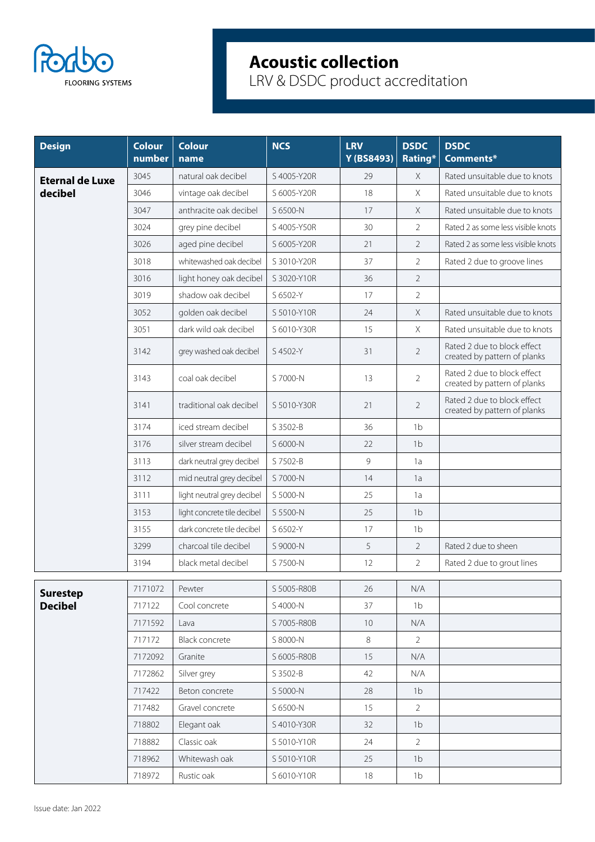

| <b>Design</b>                     | <b>Colour</b><br>number | <b>Colour</b><br>name       | <b>NCS</b>  | <b>LRV</b><br>Y (BS8493) | <b>DSDC</b><br>Rating* | <b>DSDC</b><br>Comments*                                    |
|-----------------------------------|-------------------------|-----------------------------|-------------|--------------------------|------------------------|-------------------------------------------------------------|
| <b>Eternal de Luxe</b>            | 3045                    | natural oak decibel         | S 4005-Y20R | 29                       | $\times$               | Rated unsuitable due to knots                               |
| decibel                           | 3046                    | vintage oak decibel         | S 6005-Y20R | 18                       | $\times$               | Rated unsuitable due to knots                               |
|                                   | 3047                    | anthracite oak decibel      | S 6500-N    | 17                       | X                      | Rated unsuitable due to knots                               |
|                                   | 3024                    | grey pine decibel           | S 4005-Y50R | 30                       | $\overline{2}$         | Rated 2 as some less visible knots                          |
|                                   | 3026                    | aged pine decibel           | S 6005-Y20R | 21                       | $\overline{2}$         | Rated 2 as some less visible knots                          |
|                                   | 3018                    | whitewashed oak decibel     | S 3010-Y20R | 37                       | $\overline{2}$         | Rated 2 due to groove lines                                 |
|                                   | 3016                    | light honey oak decibel     | S 3020-Y10R | 36                       | $\overline{2}$         |                                                             |
|                                   | 3019                    | shadow oak decibel          | S 6502-Y    | 17                       | $\overline{2}$         |                                                             |
|                                   | 3052                    | golden oak decibel          | S 5010-Y10R | 24                       | $\times$               | Rated unsuitable due to knots                               |
|                                   | 3051                    | dark wild oak decibel       | S 6010-Y30R | 15                       | $\times$               | Rated unsuitable due to knots                               |
|                                   | 3142                    | grey washed oak decibel     | S 4502-Y    | 31                       | $\overline{2}$         | Rated 2 due to block effect<br>created by pattern of planks |
|                                   | 3143                    | coal oak decibel            | S 7000-N    | 13                       | $\overline{2}$         | Rated 2 due to block effect<br>created by pattern of planks |
|                                   | 3141                    | traditional oak decibel     | S 5010-Y30R | 21                       | $\overline{2}$         | Rated 2 due to block effect<br>created by pattern of planks |
|                                   | 3174                    | iced stream decibel         | S 3502-B    | 36                       | 1 <sub>b</sub>         |                                                             |
|                                   | 3176                    | silver stream decibel       | S 6000-N    | 22                       | 1 <sub>b</sub>         |                                                             |
|                                   | 3113                    | dark neutral grey decibel   | S 7502-B    | $\mathsf 9$              | 1a                     |                                                             |
|                                   | 3112                    | mid neutral grey decibel    | S 7000-N    | 14                       | 1a                     |                                                             |
|                                   | 3111                    | light neutral grey decibel  | S 5000-N    | 25                       | 1a                     |                                                             |
|                                   | 3153                    | light concrete tile decibel | S 5500-N    | 25                       | 1 <sub>b</sub>         |                                                             |
|                                   | 3155                    | dark concrete tile decibel  | S 6502-Y    | 17                       | 1 <sub>b</sub>         |                                                             |
|                                   | 3299                    | charcoal tile decibel       | S 9000-N    | 5                        | 2                      | Rated 2 due to sheen                                        |
|                                   | 3194                    | black metal decibel         | S 7500-N    | 12                       | $\overline{2}$         | Rated 2 due to grout lines                                  |
|                                   | 7171072                 | Pewter                      | S 5005-R80B | 26                       | N/A                    |                                                             |
| <b>Surestep</b><br><b>Decibel</b> | 717122                  | Cool concrete               | S 4000-N    | 37                       | 1 <sub>b</sub>         |                                                             |
|                                   | 7171592                 | Lava                        | S 7005-R80B | 10                       | N/A                    |                                                             |
|                                   | 717172                  | <b>Black concrete</b>       | S 8000-N    | 8                        | $\overline{2}$         |                                                             |
|                                   | 7172092                 | Granite                     | S 6005-R80B | 15                       | N/A                    |                                                             |
|                                   | 7172862                 | Silver grey                 | S 3502-B    | 42                       | N/A                    |                                                             |
|                                   | 717422                  | Beton concrete              | S 5000-N    | 28                       | 1 <sub>b</sub>         |                                                             |
|                                   | 717482                  | Gravel concrete             | S 6500-N    | 15                       | 2                      |                                                             |
|                                   | 718802                  | Elegant oak                 | S 4010-Y30R | 32                       | 1 <sub>b</sub>         |                                                             |
|                                   | 718882                  | Classic oak                 | S 5010-Y10R | 24                       | $\overline{2}$         |                                                             |
|                                   | 718962                  | Whitewash oak               | S 5010-Y10R | 25                       | 1 <sub>b</sub>         |                                                             |
|                                   | 718972                  | Rustic oak                  | S 6010-Y10R | 18                       | 1 <sub>b</sub>         |                                                             |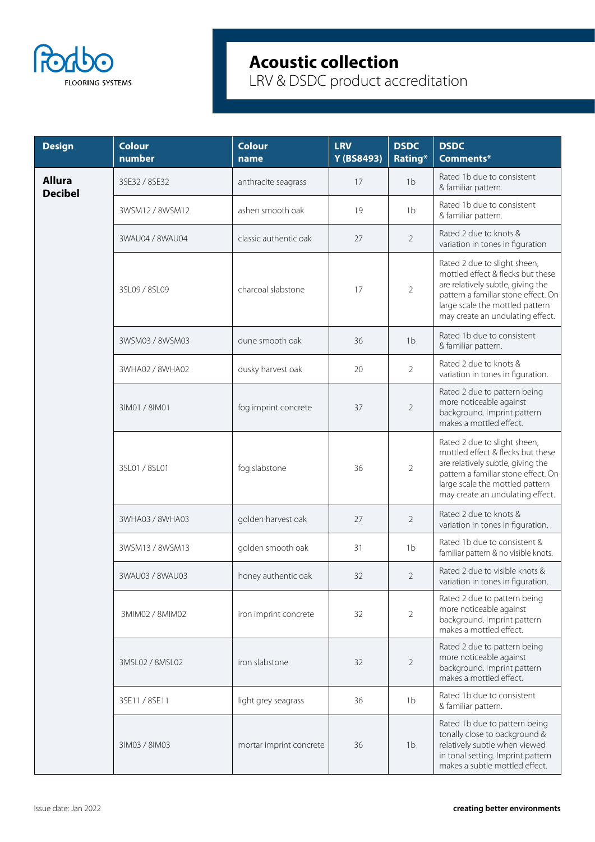

| <b>Design</b>                   | <b>Colour</b><br>number | <b>Colour</b><br>name   | <b>LRV</b><br>Y (BS8493) | <b>DSDC</b><br>Rating* | <b>DSDC</b><br>Comments*                                                                                                                                                                                             |
|---------------------------------|-------------------------|-------------------------|--------------------------|------------------------|----------------------------------------------------------------------------------------------------------------------------------------------------------------------------------------------------------------------|
| <b>Allura</b><br><b>Decibel</b> | 3SE32 / 8SE32           | anthracite seagrass     | 17                       | 1 <sub>b</sub>         | Rated 1b due to consistent<br>& familiar pattern.                                                                                                                                                                    |
|                                 | 3WSM12 / 8WSM12         | ashen smooth oak        | 19                       | 1 <sub>b</sub>         | Rated 1b due to consistent<br>& familiar pattern.                                                                                                                                                                    |
|                                 | 3WAU04 / 8WAU04         | classic authentic oak   | 27                       | $\overline{2}$         | Rated 2 due to knots &<br>variation in tones in figuration                                                                                                                                                           |
|                                 | 3SL09 / 8SL09           | charcoal slabstone      | 17                       | $\overline{2}$         | Rated 2 due to slight sheen,<br>mottled effect & flecks but these<br>are relatively subtle, giving the<br>pattern a familiar stone effect. On<br>large scale the mottled pattern<br>may create an undulating effect. |
|                                 | 3WSM03 / 8WSM03         | dune smooth oak         | 36                       | 1 <sub>b</sub>         | Rated 1b due to consistent<br>& familiar pattern.                                                                                                                                                                    |
|                                 | 3WHA02 / 8WHA02         | dusky harvest oak       | 20                       | $\overline{2}$         | Rated 2 due to knots &<br>variation in tones in figuration.                                                                                                                                                          |
|                                 | 31M01 / 81M01           | fog imprint concrete    | 37                       | $\overline{2}$         | Rated 2 due to pattern being<br>more noticeable against<br>background. Imprint pattern<br>makes a mottled effect.                                                                                                    |
|                                 | 3SL01 / 8SL01           | fog slabstone           | 36                       | $\overline{2}$         | Rated 2 due to slight sheen,<br>mottled effect & flecks but these<br>are relatively subtle, giving the<br>pattern a familiar stone effect. On<br>large scale the mottled pattern<br>may create an undulating effect. |
|                                 | 3WHA03 / 8WHA03         | golden harvest oak      | 27                       | $\overline{2}$         | Rated 2 due to knots &<br>variation in tones in figuration.                                                                                                                                                          |
|                                 | 3WSM13 / 8WSM13         | golden smooth oak       | 31                       | 1 <sub>b</sub>         | Rated 1b due to consistent &<br>familiar pattern & no visible knots.                                                                                                                                                 |
|                                 | 3WAU03 / 8WAU03         | honey authentic oak     | 32                       | $\overline{2}$         | Rated 2 due to visible knots &<br>variation in tones in figuration.                                                                                                                                                  |
|                                 | 3MIM02 / 8MIM02         | iron imprint concrete   | 32                       | $\overline{2}$         | Rated 2 due to pattern being<br>more noticeable against<br>background. Imprint pattern<br>makes a mottled effect.                                                                                                    |
|                                 | 3MSL02 / 8MSL02         | iron slabstone          | 32                       | $\overline{2}$         | Rated 2 due to pattern being<br>more noticeable against<br>background. Imprint pattern<br>makes a mottled effect.                                                                                                    |
|                                 | 3SE11 / 8SE11           | light grey seagrass     | 36                       | 1 <sub>b</sub>         | Rated 1b due to consistent<br>& familiar pattern.                                                                                                                                                                    |
|                                 | 31M03 / 81M03           | mortar imprint concrete | 36                       | 1 <sub>b</sub>         | Rated 1b due to pattern being<br>tonally close to background &<br>relatively subtle when viewed<br>in tonal setting. Imprint pattern<br>makes a subtle mottled effect.                                               |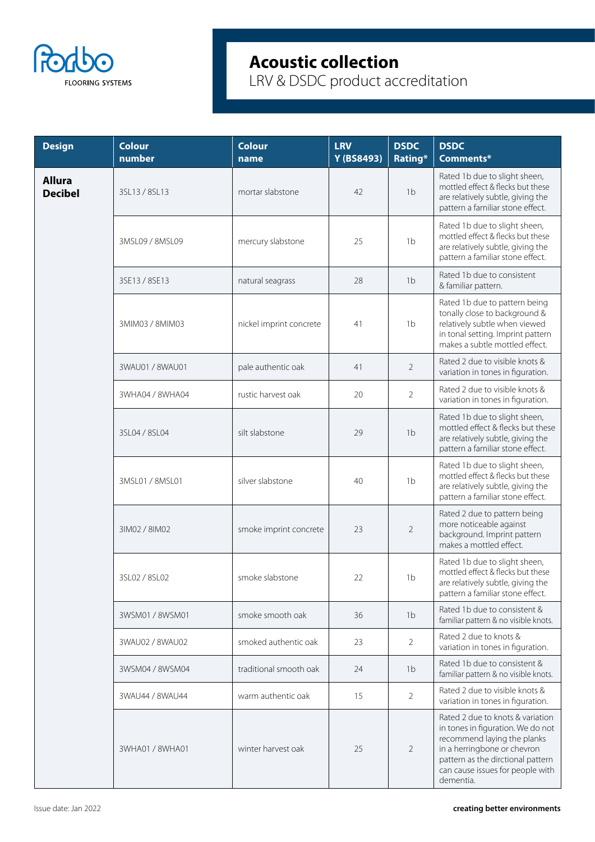

| <b>Design</b>                   | <b>Colour</b><br>number | <b>Colour</b><br>name   | <b>LRV</b><br>Y (BS8493) | <b>DSDC</b><br>Rating* | <b>DSDC</b><br>Comments*                                                                                                                                                                                                  |
|---------------------------------|-------------------------|-------------------------|--------------------------|------------------------|---------------------------------------------------------------------------------------------------------------------------------------------------------------------------------------------------------------------------|
| <b>Allura</b><br><b>Decibel</b> | 3SL13 / 8SL13           | mortar slabstone        | 42                       | 1 <sub>b</sub>         | Rated 1b due to slight sheen,<br>mottled effect & flecks but these<br>are relatively subtle, giving the<br>pattern a familiar stone effect.                                                                               |
|                                 | 3MSL09 / 8MSL09         | mercury slabstone       | 25                       | 1 <sub>b</sub>         | Rated 1b due to slight sheen,<br>mottled effect & flecks but these<br>are relatively subtle, giving the<br>pattern a familiar stone effect.                                                                               |
|                                 | 3SE13 / 8SE13           | natural seagrass        | 28                       | 1 <sub>b</sub>         | Rated 1b due to consistent<br>& familiar pattern.                                                                                                                                                                         |
|                                 | 3MIM03 / 8MIM03         | nickel imprint concrete | 41                       | 1 <sub>b</sub>         | Rated 1b due to pattern being<br>tonally close to background &<br>relatively subtle when viewed<br>in tonal setting. Imprint pattern<br>makes a subtle mottled effect.                                                    |
|                                 | 3WAU01 / 8WAU01         | pale authentic oak      | 41                       | 2                      | Rated 2 due to visible knots &<br>variation in tones in figuration.                                                                                                                                                       |
|                                 | 3WHA04 / 8WHA04         | rustic harvest oak      | 20                       | $\overline{2}$         | Rated 2 due to visible knots &<br>variation in tones in figuration.                                                                                                                                                       |
|                                 | 3SL04 / 8SL04           | silt slabstone          | 29                       | 1 <sub>b</sub>         | Rated 1b due to slight sheen,<br>mottled effect & flecks but these<br>are relatively subtle, giving the<br>pattern a familiar stone effect.                                                                               |
|                                 | 3MSL01 / 8MSL01         | silver slabstone        | 40                       | 1 <sub>b</sub>         | Rated 1b due to slight sheen,<br>mottled effect & flecks but these<br>are relatively subtle, giving the<br>pattern a familiar stone effect.                                                                               |
|                                 | 31M02 / 81M02           | smoke imprint concrete  | 23                       | $\overline{2}$         | Rated 2 due to pattern being<br>more noticeable against<br>background. Imprint pattern<br>makes a mottled effect.                                                                                                         |
|                                 | 3SL02 / 8SL02           | smoke slabstone         | 22                       | 1 <sub>b</sub>         | Rated 1b due to slight sheen,<br>mottled effect & flecks but these<br>are relatively subtle, giving the<br>pattern a familiar stone effect.                                                                               |
|                                 | 3WSM01 / 8WSM01         | smoke smooth oak        | 36                       | 1 <sub>b</sub>         | Rated 1b due to consistent &<br>familiar pattern & no visible knots.                                                                                                                                                      |
|                                 | 3WAU02 / 8WAU02         | smoked authentic oak    | 23                       | $\overline{2}$         | Rated 2 due to knots &<br>variation in tones in figuration.                                                                                                                                                               |
|                                 | 3WSM04 / 8WSM04         | traditional smooth oak  | 24                       | 1 <sub>b</sub>         | Rated 1b due to consistent &<br>familiar pattern & no visible knots.                                                                                                                                                      |
|                                 | 3WAU44 / 8WAU44         | warm authentic oak      | 15                       | $\overline{2}$         | Rated 2 due to visible knots &<br>variation in tones in figuration.                                                                                                                                                       |
|                                 | 3WHA01 / 8WHA01         | winter harvest oak      | 25                       | $\overline{2}$         | Rated 2 due to knots & variation<br>in tones in figuration. We do not<br>recommend laying the planks<br>in a herringbone or chevron<br>pattern as the dirctional pattern<br>can cause issues for people with<br>dementia. |